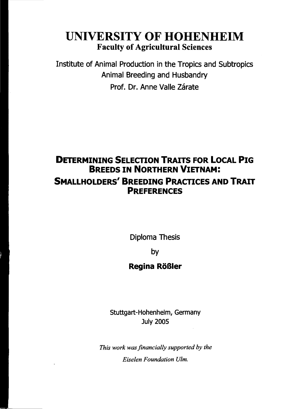# **UNIVERSITY OF HOHENHEIM** Faculty of Agricultural Sciences

Institute of Animal Production in the Tropics and Subtropics Animal Breeding and Husbandry Prof. Dr. Anne Valle Zárate

## **DETERMINING SELECTION TRAITS FOR LOCAL PIG BREEDS IN NORTHERN VIETNAM: SMALLHOLDERS' BREEDING PRACTICES AND TRAIT PREFERENCES**

Diploma Thesis

by

### **Regina Rößler**

Stuttgart-Hohenheim, Germany July 2005

*This work was financially supported by the Eiselen Foundation Ulm.*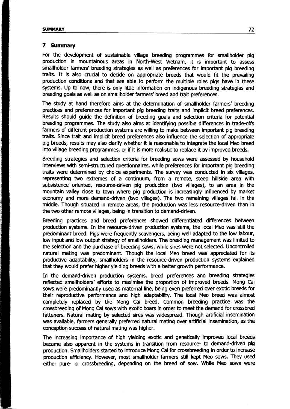#### **7 Summary**

For the development of sustainable village breeding programmes for smallholder pig production in mountainous areas in North-West Vietnam, it is important to assess smallholder farmers' breeding strategies as weil as preferences for important pig breeding traits. It is also crucial to decide on appropriate breeds that would fit the prevailing production conditions and that are able to perform the multiple roles pigs have in these systems. Up to now, there is only little information on indigenous breeding strategies and breeding goals as weil as on smallholder farmers' breed and trait preferences.

The study at hand therefore aims at the determination of smallholder farmers' breeding practices and preferences for important pig breeding traits and implicit breed preferences. Results should quide the definition of breeding goals and selection criteria for potential breeding programmes. The study also aims at identifying possible differences in trade-offs farmers of different production systems are willing to make between important pig breeding traits. Since trait and implicit breed preferences also influence the selection of appropriate pig breeds, results mayaiso darify whether it is reasonable to integrate the local Meo breed into village breeding programmes, or if it is more realistic to replace it by improved breeds.

Breeding strategies and selection criteria for breeding sows were assessed by household interviews with semi-structured questionnaires, while preferences for important pig breeding traits were determined by choice experiments. The survey was conducted in six villages, representing two extremes of a continuum, from a remote, steep hillside area with subsistence oriented, resource-driven pig production (two villages), to an area in the mountain valley close to town where pig production is increasingly influenced by market economy and more demand-driven (two villages). The two remaining villages fall in the middle. Though situated in remote areas, the production was less resource-driven than in the two other remote villages, being in transition to demand-driven.

Breeding practices and breed preferences showed differentiated differences between production systems. In the resource-driven production systems, the local Meo was still the predominant breed. Pigs were frequently scavengers, being weil adapted to the low labour, low input and low output strategy of smallholders. The breeding management was limited to the selection and the purchase of breeding sows, while sires were not selected. Uncontrolled natural mating was predominant. Though the local Meo breed was appreciated for its productive adaptability, smallholders in the resource-driven production systems explained that they would prefer higher yielding breeds with a better growth performance.

In the demand-driven production systems, breed preferences and breeding strategies reflected smallholders' efforts to maximise the proportion of improved breeds. Mong cai sows were predominantly used as maternal line, being even preferred over exotic breeds for their reproductive performance and high adaptability. The local Meo breed was almost completely replaced by the Mong cai breed. Common breeding practice was the crossbreeding of Mong cai sows with exotic boars in order to meet the demand for crossbred fatteners. Natural mating by selected sires was widespread. Though artificial insemination was available, farmers generally preferred natural mating over artificial insemination, as the conception success of natural mating was higher.

The increasing importance of high yielding exotic and genetically improved local breeds became also apparent in the systems in transition from resource- to demand-driven pig production. Smallholders started to introduce Mong cai for crossbreeding in order to increase production efficiency. However, most smallholder farmers still kept Meo sows. They used either pure- or crossbreeding, depending on the breed of sow. While Meo sows were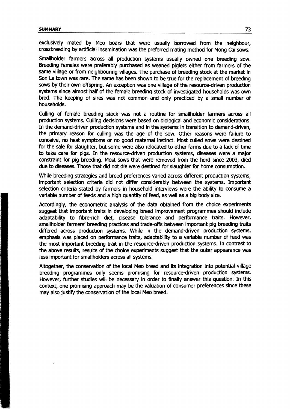exclusively mated by Meo boars that were usually borrowed from the neighbour, crossbreeding by artificial insemination was the preferred mating method for Mong cai sows.

Smallholder farmers across all production systems usually owned one breeding sow. Breeding females were preferably purchased as weaned piglets either from farmers of the same village or from neighbouring villages. The purchase of breeding stock at the market in Son La town was rare. The same has been shown to be true for the replacement of breeding sows by their own offspring. An exception was one village of the resource-driven production systems since almost half of the female breeding stock of investigated households was own bred. The keeping of sires was not common and only practiced by a small number of households.

Culling of female breeding stock was not a routine for smallholder farmers across all production systems. Culling decisions were based on biological and economic considerations. In the demand-driven production systems and in the systems in transition to demand-driven, the primary reason for culling was the age of the sow. Other reasons were failure to conceive, no heat symptoms or no good matemal instinct. Most culled sows were destined for the sale for slaughter, but some were also relocated to other farms due to a lack of time to take care for pigs. In the resource-driven production systems, diseases were a major constraint for pig breeding. Most sows that were removed from the herd since 2003, died due to diseases. Those that did not die were destined for slaughter for home consumption.

While breeding strategies and breed preferences varied across different production systems, important selection criteria did not differ considerably between the systems. Important selection criteria stated by farmers in household interviews were the ability to consume a variable number of feeds and a high quantity of feed, as weil as a big body size.

Accordingly, the econometric analysis of the data obtained from the choice experiments suggest that important traits in developing breed improvement programmes should include adaptability to flbre-rich diet, disease tolerance and performance traits. However, smallholder farmers' breeding practices and trade-offs between important pig breeding traits differed across production systems. While in the demand-driven production systems, emphasis was placed on performance traits, adaptability to a variable number of feed was the most important breeding trait in the resource-driven production systems. In contrast to the above results, results of the choice experiments suggest that the outer appearance was less important for smallholders across all systems.

Altogether, the conservation of the local Meo breed and its integration into potential village breeding programmes only seems promising for resource-driven production systems. However, further studies will be necessary in order to finally answer this question. In this context, one promising approach may be the valuation of consumer preferences since these may also justify the conservation of the local Meo breed.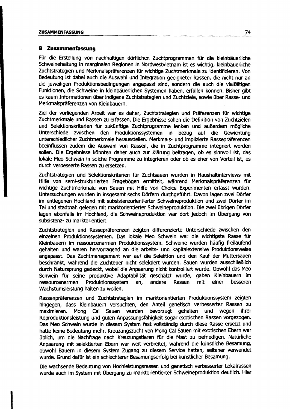#### **8 Zusammenfassung**

Für die Erstellung von nachhaltigen dörflichen ZUchtprogrammen für die kleinbäuerliche Schweinehaltung in marginalen Regionen in Nordwestvietnam ist es wichtig, kleinbäuerliche Zuchtstrategien und Merkmalspräferenzen für wichtige Zuchtmerkmale zu identifizieren. Von Bedeutung ist dabei auch die Auswahl und Integration geeigneter Rassen, die nicht nur an die jeweiligen Produktionsbedingungen angepasst sind, sondern die auch die vielfältigen Funktionen, die Schweine in kleinbäuerlichen Systemen haben, erfüllen können. Bisher gibt es kaum Informationen über indigene Zuchtstrategien und Zuchtziele, sowie über Rasse- und Merkmalspräferenzen von Kleinbauern.

Ziel der vorliegenden Arbeit war es daher, Zuchtstrategien und Präferenzen für wichtige Zuchtmerkmale und Rassen zu erfassen. Die Ergebnisse sollen die Definition von Zuchtzielen und Selektionskriterien für zukünftige Zuchtprogramme lenken und außerdem mögliche Unterschiede zwischen den Produktionssystemen in bezug auf die Gewichtung unterschiedlicher Zuchtmerkmale herausstellen. Merkmals- und implizierte Rassepräferenzen beeinflussen zudem die Auswahl von Rassen, die in Zuchtprogramme integriert werden sollen. Die Ergebnisse könnten daher auch zur Klärung beitragen, ob es sinnvoll ist, das lokale Meo Schwein in solche Programme zu integrieren oder ob es eher von Vorteil ist, es durch verbesserte Rassen zu ersetzen.

Zuchtstrategien und Selektionskriterien für Zuchtsauen wurden in Haushaltinterviews mit Hilfe von semi-strukturierten Fragebögen ermittelt, während Merkmalspräferenzen für wichtige Zuchtmerkmale von Sauen mit Hilfe von Choice Experimenten erfasst wurden. Untersuchungen wurden in insgesamt sechs Dörfern durchgeführt. Davon lagen zwei Dörfer im entlegenen Hochland mit subsistenzorientierter Schweineproduktion und zwei Dörfer im Tal und stadtnah gelegen mit marktorientierter Schweineproduktion. Die zwei übrigen Dörfer lagen ebenfalls im Hochland, die Schweineproduktion war dort jedoch im Übergang von subsistenz- zu marktorientiert.

Zuchtstrategien und Rassepräferenzen zeigten differenzierte Unterschiede zwischen den einzelnen Produktionssystemen. Das lokale Meo Schwein war die wichtigste Rasse für Kleinbauern im ressourcenarmen Produktionssystem. Schweine wurden häufig freilaufend gehalten und waren hervorragend an die arbeits- und kapitalextensive Produktionsweise angepasst. Das Zuchtmanagement war auf die Selektion und den Kauf der Muttersauen beschränkt, während die Zuchteber nicht selektiert wurden. sauen wurden ausschließlich durch Natursprung gedeckt, wobei die Anpaarung nicht kontrolliert wurde. Obwohl das Meo Schwein für seine produktive Adaptabilität geschätzt wurde, gaben Kleinbauern im ressourcenarmen Produktionssystem an, andere Rassen mit einer besseren Wachstumsleistung halten zu wollen.

Rassenpräferenzen und Zuchtstrategien im marktorientierten Produktionssystem zeigten hingegen, dass Kleinbauern versuchten, den Anteil genetisch verbesserter Rassen zu maXimieren. Mong cai sauen wurden bevorzugt gehalten und wegen ihrer Reproduktionsleistung und guten Anpassungsfähigkeit sogar exotischen Rassen vorgezogen. Das Meo Schwein wurde in diesem System fast vollständig durch diese Rasse ersetzt und hatte keine Bedeutung mehr. Kreuzungszucht von Mong cai sauen mit exotischen Ebern war üblich, um die NaChfrage nach Kreuzungstieren für die Mast zu befriedigen. Natürliche Anpaarung mit selektierten Ebern war weit verbreitet, während die künstliche Besamung, obwohl Bauern in diesem System Zugang zu diesem Service hatten, seltener verwendet wurde. Grund dafür ist ein schlechterer Besamungserfolg bei künstlicher Besamung.

Die wachsende Bedeutung von Hochleistungsrassen und genetisch verbesserter Lokalrassen wurde auch im System mit Übergang zu marktorientierter Schweineproduktion deutlich. Hier